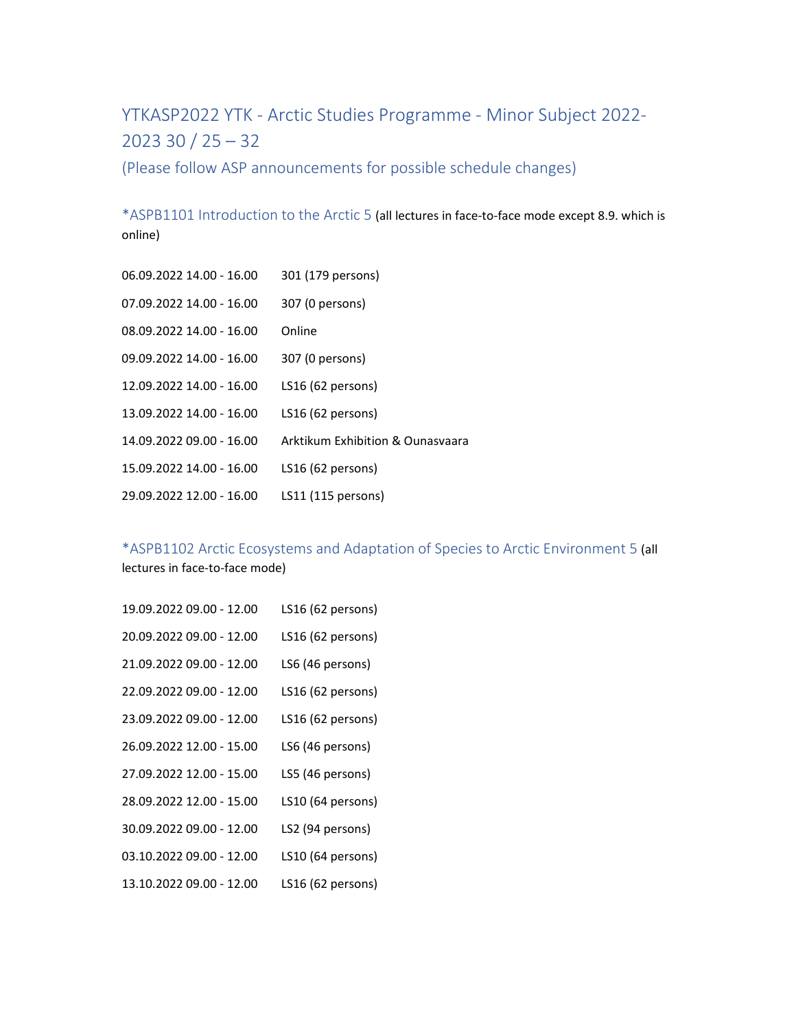YTKASP2022 YTK ‐ Arctic Studies Programme ‐ Minor Subject 2022‐ 2023 30 / 25 – 32

(Please follow ASP announcements for possible schedule changes)

\*ASPB1101 Introduction to the Arctic 5 (all lectures in face‐to‐face mode except 8.9. which is online)

06.09.2022 14.00 - 16.00 301 (179 persons) 07.09.2022 14.00 - 16.00 307 (0 persons) 08.09.2022 14.00 - 16.00 Online 09.09.2022 14.00 - 16.00 307 (0 persons) 12.09.2022 14.00 ‐ 16.00 LS16 (62 persons) 13.09.2022 14.00 ‐ 16.00 LS16 (62 persons) 14.09.2022 09.00 ‐ 16.00 Arktikum Exhibition & Ounasvaara 15.09.2022 14.00 ‐ 16.00 LS16 (62 persons) 29.09.2022 12.00 ‐ 16.00 LS11 (115 persons)

\*ASPB1102 Arctic Ecosystems and Adaptation of Species to Arctic Environment 5 (all lectures in face‐to‐face mode)

19.09.2022 09.00 ‐ 12.00 LS16 (62 persons) 20.09.2022 09.00 ‐ 12.00 LS16 (62 persons) 21.09.2022 09.00 ‐ 12.00 LS6 (46 persons) 22.09.2022 09.00 ‐ 12.00 LS16 (62 persons) 23.09.2022 09.00 ‐ 12.00 LS16 (62 persons) 26.09.2022 12.00 ‐ 15.00 LS6 (46 persons) 27.09.2022 12.00 ‐ 15.00 LS5 (46 persons) 28.09.2022 12.00 ‐ 15.00 LS10 (64 persons) 30.09.2022 09.00 ‐ 12.00 LS2 (94 persons) 03.10.2022 09.00 - 12.00 LS10 (64 persons) 13.10.2022 09.00 ‐ 12.00 LS16 (62 persons)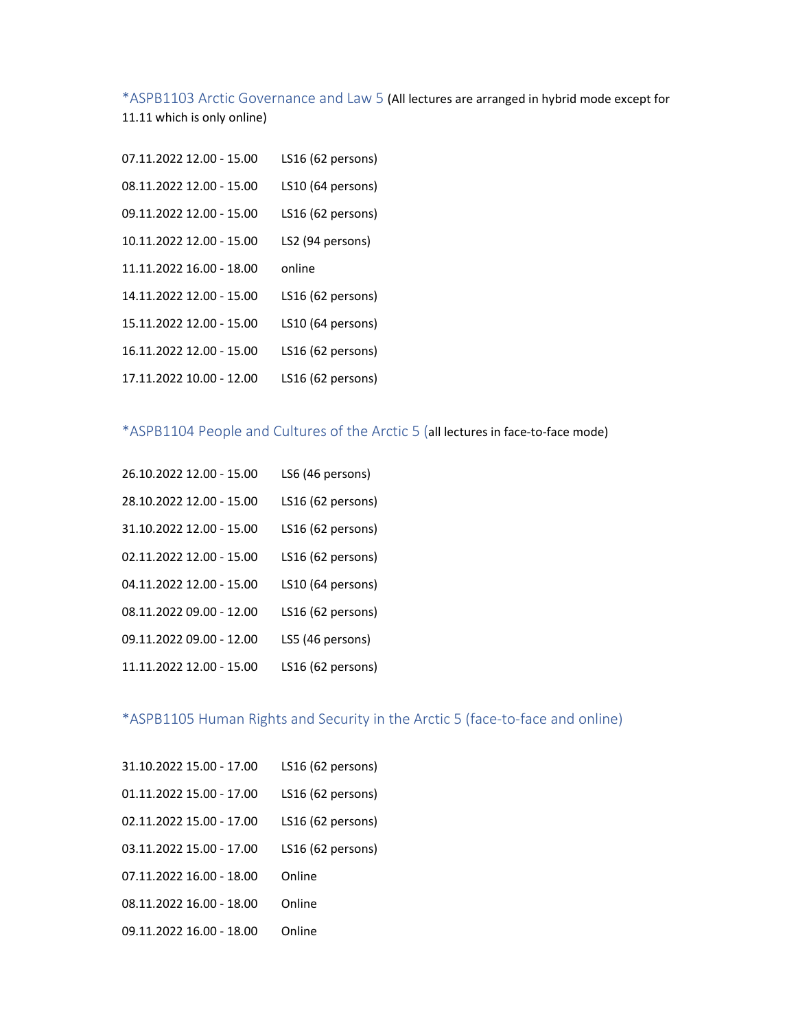\*ASPB1103 Arctic Governance and Law 5 (All lectures are arranged in hybrid mode except for

11.11 which is only online)

07.11.2022 12.00 - 15.00 LS16 (62 persons) 08.11.2022 12.00 - 15.00 LS10 (64 persons) 09.11.2022 12.00 ‐ 15.00 LS16 (62 persons) 10.11.2022 12.00 ‐ 15.00 LS2 (94 persons) 11.11.2022 16.00 ‐ 18.00 online 14.11.2022 12.00 ‐ 15.00 LS16 (62 persons) 15.11.2022 12.00 ‐ 15.00 LS10 (64 persons) 16.11.2022 12.00 ‐ 15.00 LS16 (62 persons) 17.11.2022 10.00 ‐ 12.00 LS16 (62 persons)

## \*ASPB1104 People and Cultures of the Arctic 5 (all lectures in face‐to‐face mode)

26.10.2022 12.00 ‐ 15.00 LS6 (46 persons) 28.10.2022 12.00 ‐ 15.00 LS16 (62 persons) 31.10.2022 12.00 ‐ 15.00 LS16 (62 persons) 02.11.2022 12.00 - 15.00 LS16 (62 persons) 04.11.2022 12.00 - 15.00 LS10 (64 persons) 08.11.2022 09.00 ‐ 12.00 LS16 (62 persons) 09.11.2022 09.00 - 12.00 LS5 (46 persons) 11.11.2022 12.00 ‐ 15.00 LS16 (62 persons)

## \*ASPB1105 Human Rights and Security in the Arctic 5 (face‐to‐face and online)

31.10.2022 15.00 ‐ 17.00 LS16 (62 persons) 01.11.2022 15.00 - 17.00 LS16 (62 persons) 02.11.2022 15.00 - 17.00 LS16 (62 persons) 03.11.2022 15.00 - 17.00 LS16 (62 persons) 07.11.2022 16.00 - 18.00 Online 08.11.2022 16.00 - 18.00 Online 09.11.2022 16.00 - 18.00 Online